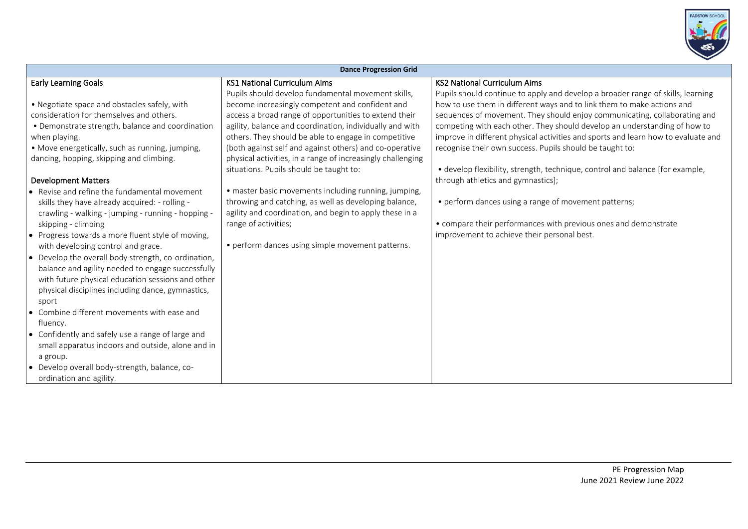

| <b>Dance Progression Grid</b>                       |                                                             |                                                                                   |  |  |  |  |
|-----------------------------------------------------|-------------------------------------------------------------|-----------------------------------------------------------------------------------|--|--|--|--|
| <b>Early Learning Goals</b>                         | <b>KS1 National Curriculum Aims</b>                         | <b>KS2 National Curriculum Aims</b>                                               |  |  |  |  |
|                                                     | Pupils should develop fundamental movement skills,          | Pupils should continue to apply and develop a broader range of skills, learning   |  |  |  |  |
| • Negotiate space and obstacles safely, with        | become increasingly competent and confident and             | how to use them in different ways and to link them to make actions and            |  |  |  |  |
| consideration for themselves and others.            | access a broad range of opportunities to extend their       | sequences of movement. They should enjoy communicating, collaborating and         |  |  |  |  |
| • Demonstrate strength, balance and coordination    | agility, balance and coordination, individually and with    | competing with each other. They should develop an understanding of how to         |  |  |  |  |
| when playing.                                       | others. They should be able to engage in competitive        | improve in different physical activities and sports and learn how to evaluate and |  |  |  |  |
| • Move energetically, such as running, jumping,     | (both against self and against others) and co-operative     | recognise their own success. Pupils should be taught to:                          |  |  |  |  |
| dancing, hopping, skipping and climbing.            | physical activities, in a range of increasingly challenging |                                                                                   |  |  |  |  |
|                                                     | situations. Pupils should be taught to:                     | • develop flexibility, strength, technique, control and balance [for example,     |  |  |  |  |
| <b>Development Matters</b>                          |                                                             | through athletics and gymnastics];                                                |  |  |  |  |
| • Revise and refine the fundamental movement        | · master basic movements including running, jumping,        |                                                                                   |  |  |  |  |
| skills they have already acquired: - rolling -      | throwing and catching, as well as developing balance,       | • perform dances using a range of movement patterns;                              |  |  |  |  |
| crawling - walking - jumping - running - hopping -  | agility and coordination, and begin to apply these in a     |                                                                                   |  |  |  |  |
| skipping - climbing                                 | range of activities;                                        | • compare their performances with previous ones and demonstrate                   |  |  |  |  |
| • Progress towards a more fluent style of moving,   |                                                             | improvement to achieve their personal best.                                       |  |  |  |  |
| with developing control and grace.                  | • perform dances using simple movement patterns.            |                                                                                   |  |  |  |  |
| • Develop the overall body strength, co-ordination, |                                                             |                                                                                   |  |  |  |  |
| balance and agility needed to engage successfully   |                                                             |                                                                                   |  |  |  |  |
| with future physical education sessions and other   |                                                             |                                                                                   |  |  |  |  |
| physical disciplines including dance, gymnastics,   |                                                             |                                                                                   |  |  |  |  |
| sport                                               |                                                             |                                                                                   |  |  |  |  |
| • Combine different movements with ease and         |                                                             |                                                                                   |  |  |  |  |
| fluency.                                            |                                                             |                                                                                   |  |  |  |  |
| • Confidently and safely use a range of large and   |                                                             |                                                                                   |  |  |  |  |
| small apparatus indoors and outside, alone and in   |                                                             |                                                                                   |  |  |  |  |
| a group.                                            |                                                             |                                                                                   |  |  |  |  |
| • Develop overall body-strength, balance, co-       |                                                             |                                                                                   |  |  |  |  |
| ordination and agility.                             |                                                             |                                                                                   |  |  |  |  |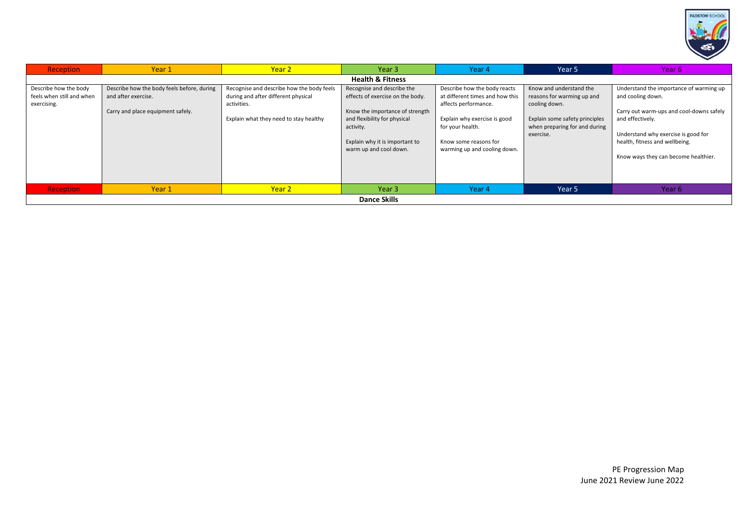

| Reception                   | Year 1                                     | Year 2                                    | Year 3                           | Year 4                          | Year 5                         | Year 6                                   |
|-----------------------------|--------------------------------------------|-------------------------------------------|----------------------------------|---------------------------------|--------------------------------|------------------------------------------|
| <b>Health &amp; Fitness</b> |                                            |                                           |                                  |                                 |                                |                                          |
| Describe how the body       | Describe how the body feels before, during | Recognise and describe how the body feels | Recognise and describe the       | Describe how the body reacts    | Know and understand the        | Understand the importance of warming up  |
| feels when still and when   | and after exercise.                        | during and after different physical       | effects of exercise on the body. | at different times and how this | reasons for warming up and     | and cooling down.                        |
| exercising.                 |                                            | activities.                               |                                  | affects performance.            | cooling down.                  |                                          |
|                             | Carry and place equipment safely.          |                                           | Know the importance of strength  |                                 |                                | Carry out warm-ups and cool-downs safely |
|                             |                                            | Explain what they need to stay healthy    | and flexibility for physical     | Explain why exercise is good    | Explain some safety principles | and effectively.                         |
|                             |                                            |                                           | activity.                        | for your health.                | when preparing for and during  |                                          |
|                             |                                            |                                           |                                  |                                 | exercise.                      | Understand why exercise is good for      |
|                             |                                            |                                           | Explain why it is important to   | Know some reasons for           |                                | health, fitness and wellbeing.           |
|                             |                                            |                                           | warm up and cool down.           | warming up and cooling down.    |                                |                                          |
|                             |                                            |                                           |                                  |                                 |                                | Know ways they can become healthier.     |
|                             |                                            |                                           |                                  |                                 |                                |                                          |
|                             |                                            |                                           |                                  |                                 |                                |                                          |
|                             |                                            |                                           |                                  |                                 |                                |                                          |
| Reception                   | Year 1                                     | Year 2                                    | Year 3                           | Year 4                          | Year 5                         | Year 6                                   |
| <b>Dance Skills</b>         |                                            |                                           |                                  |                                 |                                |                                          |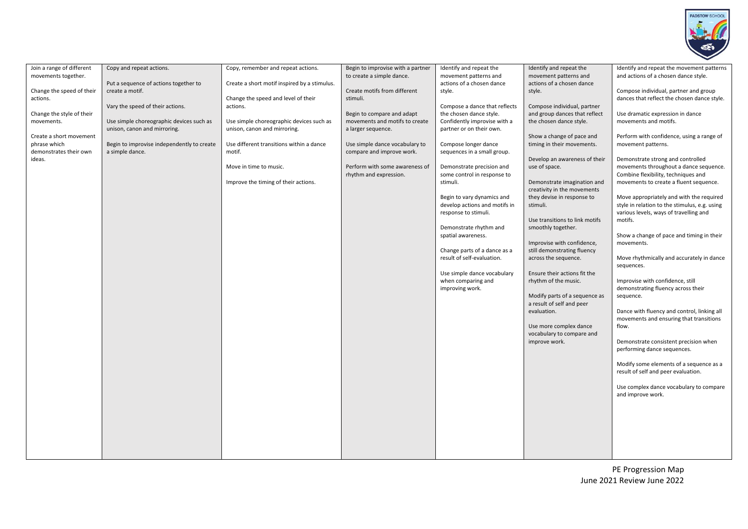

| Join a range of different | Copy and repeat actions.                   | Copy, remember and repeat actions.           | Begin to improvise with a partner | Identify and repeat the                                     | Identify and repeat the                | Identify and repeat the movement patterns                                                 |
|---------------------------|--------------------------------------------|----------------------------------------------|-----------------------------------|-------------------------------------------------------------|----------------------------------------|-------------------------------------------------------------------------------------------|
| movements together.       |                                            |                                              | to create a simple dance.         | movement patterns and                                       | movement patterns and                  | and actions of a chosen dance style.                                                      |
|                           | Put a sequence of actions together to      | Create a short motif inspired by a stimulus. |                                   | actions of a chosen dance                                   | actions of a chosen dance              |                                                                                           |
| Change the speed of their | create a motif.                            |                                              | Create motifs from different      | style.                                                      | style.                                 | Compose individual, partner and group                                                     |
| actions.                  |                                            | Change the speed and level of their          | stimuli.                          |                                                             |                                        | dances that reflect the chosen dance style.                                               |
|                           | Vary the speed of their actions.           | actions.                                     |                                   | Compose a dance that reflects                               | Compose individual, partner            |                                                                                           |
| Change the style of their |                                            |                                              | Begin to compare and adapt        | the chosen dance style.                                     | and group dances that reflect          | Use dramatic expression in dance                                                          |
| movements.                | Use simple choreographic devices such as   | Use simple choreographic devices such as     | movements and motifs to create    | Confidently improvise with a                                | the chosen dance style.                | movements and motifs.                                                                     |
|                           | unison, canon and mirroring.               | unison, canon and mirroring.                 | a larger sequence.                | partner or on their own.                                    |                                        |                                                                                           |
| Create a short movement   |                                            |                                              |                                   |                                                             | Show a change of pace and              | Perform with confidence, using a range of                                                 |
| phrase which              | Begin to improvise independently to create | Use different transitions within a dance     | Use simple dance vocabulary to    | Compose longer dance                                        | timing in their movements.             | movement patterns.                                                                        |
| demonstrates their own    | a simple dance.                            | motif.                                       | compare and improve work.         | sequences in a small group.                                 |                                        |                                                                                           |
| ideas.                    |                                            |                                              |                                   |                                                             | Develop an awareness of their          | Demonstrate strong and controlled                                                         |
|                           |                                            | Move in time to music.                       | Perform with some awareness of    | Demonstrate precision and                                   | use of space.                          | movements throughout a dance sequence.                                                    |
|                           |                                            |                                              | rhythm and expression.            | some control in response to                                 |                                        | Combine flexibility, techniques and                                                       |
|                           |                                            | Improve the timing of their actions.         |                                   | stimuli.                                                    | Demonstrate imagination and            | movements to create a fluent sequence.                                                    |
|                           |                                            |                                              |                                   |                                                             | creativity in the movements            |                                                                                           |
|                           |                                            |                                              |                                   | Begin to vary dynamics and<br>develop actions and motifs in | they devise in response to<br>stimuli. | Move appropriately and with the required<br>style in relation to the stimulus, e.g. using |
|                           |                                            |                                              |                                   | response to stimuli.                                        |                                        | various levels, ways of travelling and                                                    |
|                           |                                            |                                              |                                   |                                                             | Use transitions to link motifs         | motifs.                                                                                   |
|                           |                                            |                                              |                                   | Demonstrate rhythm and                                      | smoothly together.                     |                                                                                           |
|                           |                                            |                                              |                                   | spatial awareness.                                          |                                        | Show a change of pace and timing in their                                                 |
|                           |                                            |                                              |                                   |                                                             | Improvise with confidence,             | movements.                                                                                |
|                           |                                            |                                              |                                   | Change parts of a dance as a                                | still demonstrating fluency            |                                                                                           |
|                           |                                            |                                              |                                   | result of self-evaluation.                                  | across the sequence.                   | Move rhythmically and accurately in dance                                                 |
|                           |                                            |                                              |                                   |                                                             |                                        | sequences.                                                                                |
|                           |                                            |                                              |                                   | Use simple dance vocabulary                                 | Ensure their actions fit the           |                                                                                           |
|                           |                                            |                                              |                                   | when comparing and                                          | rhythm of the music.                   | Improvise with confidence, still                                                          |
|                           |                                            |                                              |                                   | improving work.                                             |                                        | demonstrating fluency across their                                                        |
|                           |                                            |                                              |                                   |                                                             | Modify parts of a sequence as          | sequence.                                                                                 |
|                           |                                            |                                              |                                   |                                                             | a result of self and peer              |                                                                                           |
|                           |                                            |                                              |                                   |                                                             | evaluation.                            | Dance with fluency and control, linking all                                               |
|                           |                                            |                                              |                                   |                                                             |                                        | movements and ensuring that transitions                                                   |
|                           |                                            |                                              |                                   |                                                             | Use more complex dance                 | flow.                                                                                     |
|                           |                                            |                                              |                                   |                                                             | vocabulary to compare and              |                                                                                           |
|                           |                                            |                                              |                                   |                                                             | improve work.                          | Demonstrate consistent precision when                                                     |
|                           |                                            |                                              |                                   |                                                             |                                        | performing dance sequences.                                                               |
|                           |                                            |                                              |                                   |                                                             |                                        |                                                                                           |
|                           |                                            |                                              |                                   |                                                             |                                        | Modify some elements of a sequence as a                                                   |
|                           |                                            |                                              |                                   |                                                             |                                        | result of self and peer evaluation.                                                       |
|                           |                                            |                                              |                                   |                                                             |                                        | Use complex dance vocabulary to compare                                                   |
|                           |                                            |                                              |                                   |                                                             |                                        | and improve work.                                                                         |
|                           |                                            |                                              |                                   |                                                             |                                        |                                                                                           |
|                           |                                            |                                              |                                   |                                                             |                                        |                                                                                           |
|                           |                                            |                                              |                                   |                                                             |                                        |                                                                                           |
|                           |                                            |                                              |                                   |                                                             |                                        |                                                                                           |
|                           |                                            |                                              |                                   |                                                             |                                        |                                                                                           |
|                           |                                            |                                              |                                   |                                                             |                                        |                                                                                           |
|                           |                                            |                                              |                                   |                                                             |                                        |                                                                                           |
|                           |                                            |                                              |                                   |                                                             |                                        |                                                                                           |